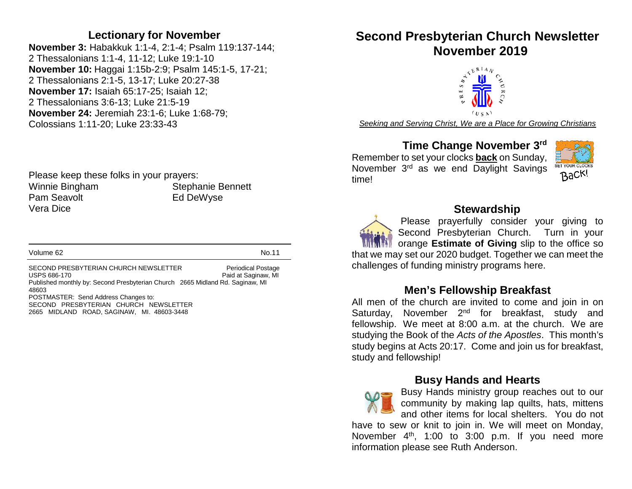#### **Lectionary for November**

**November 3:** Habakkuk 1:1-4, 2:1-4; Psalm 119:137-144; 2 Thessalonians 1:1-4, 11-12; Luke 19:1-10 **November 10:** Haggai 1:15b-2:9; Psalm 145:1-5, 17-21; 2 Thessalonians 2:1-5, 13-17; Luke 20:27-38 **November 17:** Isaiah 65:17-25; Isaiah 12; 2 Thessalonians 3:6-13; Luke 21:5-19 **November 24:** Jeremiah 23:1-6; Luke 1:68-79; Colossians 1:11-20; Luke 23:33-43

Please keep these folks in your prayers: Winnie Bingham Stephanie Bennett Pam Seavolt **Ed DeWyse** Vera Dice

#### Volume 62 No.11

SECOND PRESBYTERIAN CHURCH NEWSLETTER Periodical Postage USPS 686-170 **Paid at Saginaw, MI** Published monthly by: Second Presbyterian Church 2665 Midland Rd. Saginaw, MI 48603 POSTMASTER: Send Address Changes to: SECOND PRESBYTERIAN CHURCH NEWSLETTER 2665 MIDLAND ROAD, SAGINAW, MI. 48603-3448

## **Second Presbyterian Church Newsletter November 2019**



*Seeking and Serving Christ, We are a Place for Growing Christians*

#### **Time Change November 3rd**

Remember to set your clocks **back** on Sunday, November 3<sup>rd</sup> as we end Daylight Savings time!



#### **Stewardship**

Please prayerfully consider your giving to Second Presbyterian Church. Turn in your **With orange Estimate of Giving** slip to the office so that we may set our 2020 budget. Together we can meet the challenges of funding ministry programs here.

#### **Men's Fellowship Breakfast**

All men of the church are invited to come and join in on Saturday, November 2<sup>nd</sup> for breakfast, study and fellowship. We meet at 8:00 a.m. at the church. We are studying the Book of the *Acts of the Apostles*. This month's study begins at Acts 20:17. Come and join us for breakfast, study and fellowship!

#### **Busy Hands and Hearts**

Busy Hands ministry group reaches out to our community by making lap quilts, hats, mittens and other items for local shelters. You do not

have to sew or knit to join in. We will meet on Monday, November  $4<sup>th</sup>$ , 1:00 to 3:00 p.m. If you need more information please see Ruth Anderson.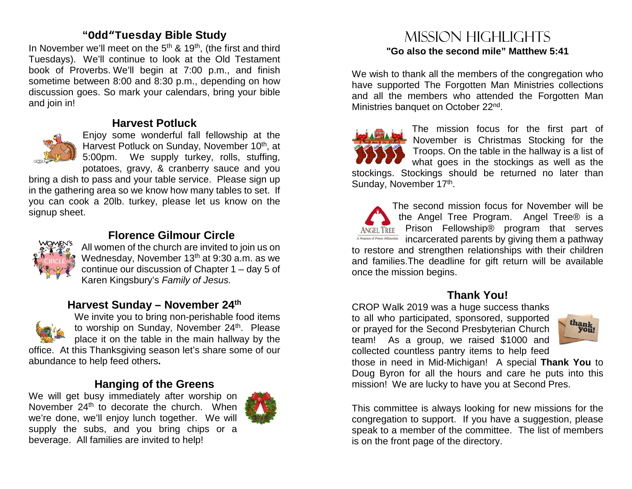#### **"Odd"Tuesday Bible Study**

In November we'll meet on the  $5<sup>th</sup>$  &  $19<sup>th</sup>$ , (the first and third Tuesdays). We'll continue to look at the Old Testament book of Proverbs. We'll begin at 7:00 p.m., and finish sometime between 8:00 and 8:30 p.m., depending on how discussion goes. So mark your calendars, bring your bible and join in!

#### **Harvest Potluck**



Enjoy some wonderful fall fellowship at the Harvest Potluck on Sunday, November 10<sup>th</sup>, at 5:00pm. We supply turkey, rolls, stuffing, potatoes, gravy, & cranberry sauce and you

bring a dish to pass and your table service. Please sign up in the gathering area so we know how many tables to set. If you can cook a 20lb. turkey, please let us know on the signup sheet.



## **Florence Gilmour Circle**

All women of the church are invited to join us on Wednesday, November  $13<sup>th</sup>$  at 9:30 a.m. as we continue our discussion of Chapter 1 – day 5 of Karen Kingsbury's *Family of Jesus.*

#### **Harvest Sunday – November 24th**



We invite you to bring non-perishable food items to worship on Sunday, November 24<sup>th</sup>. Please place it on the table in the main hallway by the office. At this Thanksgiving season let's share some of our abundance to help feed others**.** 

#### **Hanging of the Greens**

We will get busy immediately after worship on November 24<sup>th</sup> to decorate the church. When we're done, we'll enjoy lunch together. We will supply the subs, and you bring chips or a beverage. All families are invited to help!



## Mission highlights **"Go also the second mile" Matthew 5:41**

We wish to thank all the members of the congregation who have supported The Forgotten Man Ministries collections and all the members who attended the Forgotten Man Ministries banquet on October 22nd.

The mission focus for the first part of November is Christmas Stocking for the Troops. On the table in the hallway is a list of what goes in the stockings as well as the stockings. Stockings should be returned no later than Sunday, November 17th.

The second mission focus for November will be the Angel Tree Program. Angel Tree® is a ANGELTREE Prison Fellowship<sup>®</sup> program that serves *I* Program of Prison Fellowship incarcerated parents by giving them a pathway to restore and strengthen relationships with their children and families.The deadline for gift return will be available once the mission begins.

#### **Thank You!**

CROP Walk 2019 was a huge success thanks to all who participated, sponsored, supported or prayed for the Second Presbyterian Church team! As a group, we raised \$1000 and collected countless pantry items to help feed



those in need in Mid-Michigan! A special **Thank You** to Doug Byron for all the hours and care he puts into this mission! We are lucky to have you at Second Pres.

This committee is always looking for new missions for the congregation to support. If you have a suggestion, please speak to a member of the committee. The list of members is on the front page of the directory.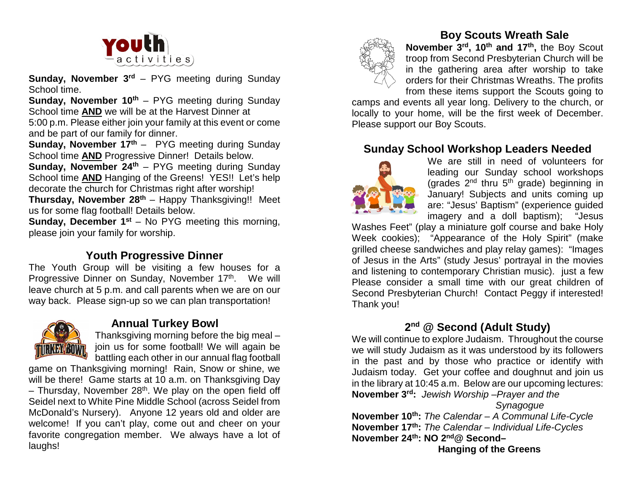

**Sunday, November 3<sup>rd</sup>** – PYG meeting during Sunday School time.

**Sunday, November 10<sup>th</sup>** – PYG meeting during Sunday School time **AND** we will be at the Harvest Dinner at 5:00 p.m. Please either join your family at this event or come and be part of our family for dinner.

**Sunday, November 17<sup>th</sup>** – PYG meeting during Sunday School time **AND** Progressive Dinner! Details below.

**Sunday, November 24<sup>th</sup>** – PYG meeting during Sunday School time **AND** Hanging of the Greens! YES!! Let's help decorate the church for Christmas right after worship!

**Thursday, November 28<sup>th</sup>** – Happy Thanksgiving!! Meet us for some flag football! Details below.

**Sunday, December 1<sup>st</sup>** – No PYG meeting this morning, please join your family for worship.

### **Youth Progressive Dinner**

The Youth Group will be visiting a few houses for a Progressive Dinner on Sunday, November 17th. We will leave church at 5 p.m. and call parents when we are on our way back. Please sign-up so we can plan transportation!



#### **Annual Turkey Bowl**

Thanksgiving morning before the big meal – join us for some football! We will again be battling each other in our annual flag football

game on Thanksgiving morning! Rain, Snow or shine, we will be there! Game starts at 10 a.m. on Thanksgiving Day  $-$  Thursday, November 28<sup>th</sup>. We play on the open field off Seidel next to White Pine Middle School (across Seidel from McDonald's Nursery). Anyone 12 years old and older are welcome! If you can't play, come out and cheer on your favorite congregation member. We always have a lot of laughs!



#### **Boy Scouts Wreath Sale**

**November 3rd, 10th and 17th,** the Boy Scout troop from Second Presbyterian Church will be in the gathering area after worship to take orders for their Christmas Wreaths. The profits from these items support the Scouts going to

camps and events all year long. Delivery to the church, or locally to your home, will be the first week of December. Please support our Boy Scouts.

#### **Sunday School Workshop Leaders Needed**



We are still in need of volunteers for leading our Sunday school workshops (grades  $2<sup>nd</sup>$  thru  $5<sup>th</sup>$  grade) beginning in January! Subjects and units coming up are: "Jesus' Baptism" (experience guided imagery and a doll baptism); "Jesus

Washes Feet" (play a miniature golf course and bake Holy Week cookies); "Appearance of the Holy Spirit" (make grilled cheese sandwiches and play relay games): "Images of Jesus in the Arts" (study Jesus' portrayal in the movies and listening to contemporary Christian music). just a few Please consider a small time with our great children of Second Presbyterian Church! Contact Peggy if interested! Thank you!

## **2nd @ Second (Adult Study)**

We will continue to explore Judaism. Throughout the course we will study Judaism as it was understood by its followers in the past and by those who practice or identify with Judaism today. Get your coffee and doughnut and join us in the library at 10:45 a.m. Below are our upcoming lectures: **November 3rd:** *Jewish Worship –Prayer and the* 

*Synagogue*

**November 10th:** *The Calendar – A Communal Life-Cycle* **November 17th:** *The Calendar – Individual Life-Cycles* **November 24th: NO 2nd@ Second– Hanging of the Greens**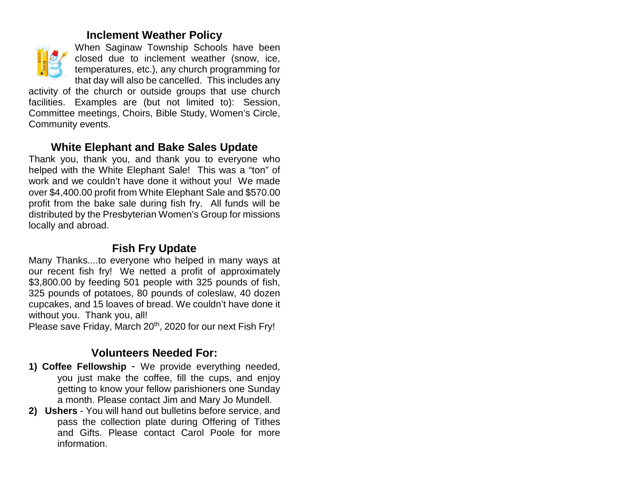#### **Inclement Weather Policy**



When Saginaw Township Schools have been closed due to inclement weather (snow, ice, temperatures, etc.), any church programming for that day will also be cancelled. This includes any

activity of the church or outside groups that use church facilities. Examples are (but not limited to): Session, Committee meetings, Choirs, Bible Study, Women's Circle, Community events.

### **White Elephant and Bake Sales Update**

Thank you, thank you, and thank you to everyone who helped with the White Elephant Sale! This was a "ton" of work and we couldn't have done it without you! We made over \$4,400.00 profit from White Elephant Sale and \$570.00 profit from the bake sale during fish fry. All funds will be distributed by the Presbyterian Women's Group for missions locally and abroad.

## **Fish Fry Update**

Many Thanks....to everyone who helped in many ways at our recent fish fry! We netted a profit of approximately \$3,800.00 by feeding 501 people with 325 pounds of fish, 325 pounds of potatoes, 80 pounds of coleslaw, 40 dozen cupcakes, and 15 loaves of bread. We couldn't have done it without you. Thank you, all!

Please save Friday, March 20<sup>th</sup>, 2020 for our next Fish Fry!

## **Volunteers Needed For:**

- **1) Coffee Fellowship** We provide everything needed, you just make the coffee, fill the cups, and enjoy getting to know your fellow parishioners one Sunday a month. Please contact Jim and Mary Jo Mundell.
- **2) Ushers**  You will hand out bulletins before service, and pass the collection plate during Offering of Tithes and Gifts. Please contact Carol Poole for more information.